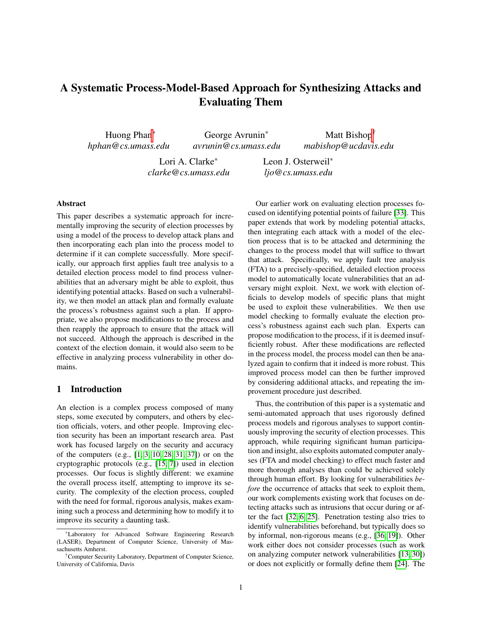# A Systematic Process-Model-Based Approach for Synthesizing Attacks and Evaluating Them

Huong Phan<sup>∗</sup> *hphan@cs.umass.edu*

George Avrunin<sup>∗</sup> *avrunin@cs.umass.edu*

Lori A. Clarke<sup>∗</sup> *clarke@cs.umass.edu* Leon J. Osterweil<sup>∗</sup> *ljo@cs.umass.edu*

## Abstract

This paper describes a systematic approach for incrementally improving the security of election processes by using a model of the process to develop attack plans and then incorporating each plan into the process model to determine if it can complete successfully. More specifically, our approach first applies fault tree analysis to a detailed election process model to find process vulnerabilities that an adversary might be able to exploit, thus identifying potential attacks. Based on such a vulnerability, we then model an attack plan and formally evaluate the process's robustness against such a plan. If appropriate, we also propose modifications to the process and then reapply the approach to ensure that the attack will not succeed. Although the approach is described in the context of the election domain, it would also seem to be effective in analyzing process vulnerability in other domains.

## 1 Introduction

An election is a complex process composed of many steps, some executed by computers, and others by election officials, voters, and other people. Improving election security has been an important research area. Past work has focused largely on the security and accuracy of the computers (e.g., [\[1,](#page-13-0) [3,](#page-13-1) [10,](#page-13-2) [28,](#page-14-0) [31,](#page-14-1) [37\]](#page-15-0)) or on the cryptographic protocols (e.g., [\[15,](#page-14-2) [7\]](#page-13-3)) used in election processes. Our focus is slightly different: we examine the overall process itself, attempting to improve its security. The complexity of the election process, coupled with the need for formal, rigorous analysis, makes examining such a process and determining how to modify it to improve its security a daunting task.

Our earlier work on evaluating election processes focused on identifying potential points of failure [\[33\]](#page-14-3). This paper extends that work by modeling potential attacks, then integrating each attack with a model of the election process that is to be attacked and determining the changes to the process model that will suffice to thwart that attack. Specifically, we apply fault tree analysis (FTA) to a precisely-specified, detailed election process model to automatically locate vulnerabilities that an adversary might exploit. Next, we work with election officials to develop models of specific plans that might be used to exploit these vulnerabilities. We then use model checking to formally evaluate the election process's robustness against each such plan. Experts can propose modification to the process, if it is deemed insufficiently robust. After these modifications are reflected in the process model, the process model can then be analyzed again to confirm that it indeed is more robust. This improved process model can then be further improved by considering additional attacks, and repeating the improvement procedure just described.

Matt Bishop<sup>†</sup> *mabishop@ucdavis.edu*

Thus, the contribution of this paper is a systematic and semi-automated approach that uses rigorously defined process models and rigorous analyses to support continuously improving the security of election processes. This approach, while requiring significant human participation and insight, also exploits automated computer analyses (FTA and model checking) to effect much faster and more thorough analyses than could be achieved solely through human effort. By looking for vulnerabilities *before* the occurrence of attacks that seek to exploit them, our work complements existing work that focuses on detecting attacks such as intrusions that occur during or after the fact [\[32,](#page-14-4) [6,](#page-13-4) [25\]](#page-14-5). Penetration testing also tries to identify vulnerabilities beforehand, but typically does so by informal, non-rigorous means (e.g., [\[36,](#page-15-1) [19\]](#page-14-6)). Other work either does not consider processes (such as work on analyzing computer network vulnerabilities [\[13,](#page-13-5) [30\]](#page-14-7)) or does not explicitly or formally define them [\[24\]](#page-14-8). The

<sup>∗</sup>Laboratory for Advanced Software Engineering Research (LASER), Department of Computer Science, University of Massachusetts Amherst.

<sup>†</sup>Computer Security Laboratory, Department of Computer Science, University of California, Davis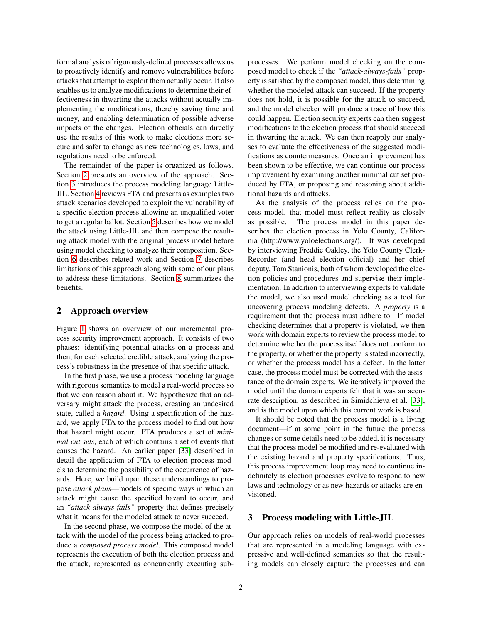formal analysis of rigorously-defined processes allows us to proactively identify and remove vulnerabilities before attacks that attempt to exploit them actually occur. It also enables us to analyze modifications to determine their effectiveness in thwarting the attacks without actually implementing the modifications, thereby saving time and money, and enabling determination of possible adverse impacts of the changes. Election officials can directly use the results of this work to make elections more secure and safer to change as new technologies, laws, and regulations need to be enforced.

The remainder of the paper is organized as follows. Section [2](#page-1-0) presents an overview of the approach. Section [3](#page-1-1) introduces the process modeling language Little-JIL. Section [4](#page-3-0) reviews FTA and presents as examples two attack scenarios developed to exploit the vulnerability of a specific election process allowing an unqualified voter to get a regular ballot. Section [5](#page-6-0) describes how we model the attack using Little-JIL and then compose the resulting attack model with the original process model before using model checking to analyze their composition. Section [6](#page-10-0) describes related work and Section [7](#page-11-0) describes limitations of this approach along with some of our plans to address these limitations. Section [8](#page-12-0) summarizes the benefits.

## <span id="page-1-0"></span>2 Approach overview

Figure [1](#page-2-0) shows an overview of our incremental process security improvement approach. It consists of two phases: identifying potential attacks on a process and then, for each selected credible attack, analyzing the process's robustness in the presence of that specific attack.

In the first phase, we use a process modeling language with rigorous semantics to model a real-world process so that we can reason about it. We hypothesize that an adversary might attack the process, creating an undesired state, called a *hazard*. Using a specification of the hazard, we apply FTA to the process model to find out how that hazard might occur. FTA produces a set of *minimal cut sets*, each of which contains a set of events that causes the hazard. An earlier paper [\[33\]](#page-14-3) described in detail the application of FTA to election process models to determine the possibility of the occurrence of hazards. Here, we build upon these understandings to propose *attack plans*—models of specific ways in which an attack might cause the specified hazard to occur, and an *"attack-always-fails"* property that defines precisely what it means for the modeled attack to never succeed.

In the second phase, we compose the model of the attack with the model of the process being attacked to produce a *composed process model*. This composed model represents the execution of both the election process and the attack, represented as concurrently executing subprocesses. We perform model checking on the composed model to check if the *"attack-always-fails"* property is satisfied by the composed model, thus determining whether the modeled attack can succeed. If the property does not hold, it is possible for the attack to succeed, and the model checker will produce a trace of how this could happen. Election security experts can then suggest modifications to the election process that should succeed in thwarting the attack. We can then reapply our analyses to evaluate the effectiveness of the suggested modifications as countermeasures. Once an improvement has been shown to be effective, we can continue our process improvement by examining another minimal cut set produced by FTA, or proposing and reasoning about additional hazards and attacks.

As the analysis of the process relies on the process model, that model must reflect reality as closely as possible. The process model in this paper describes the election process in Yolo County, California (http://www.yoloelections.org/). It was developed by interviewing Freddie Oakley, the Yolo County Clerk-Recorder (and head election official) and her chief deputy, Tom Stanionis, both of whom developed the election policies and procedures and supervise their implementation. In addition to interviewing experts to validate the model, we also used model checking as a tool for uncovering process modeling defects. A *property* is a requirement that the process must adhere to. If model checking determines that a property is violated, we then work with domain experts to review the process model to determine whether the process itself does not conform to the property, or whether the property is stated incorrectly, or whether the process model has a defect. In the latter case, the process model must be corrected with the assistance of the domain experts. We iteratively improved the model until the domain experts felt that it was an accurate description, as described in Simidchieva et al. [\[33\]](#page-14-3), and is the model upon which this current work is based.

It should be noted that the process model is a living document—if at some point in the future the process changes or some details need to be added, it is necessary that the process model be modified and re-evaluated with the existing hazard and property specifications. Thus, this process improvement loop may need to continue indefinitely as election processes evolve to respond to new laws and technology or as new hazards or attacks are envisioned.

## <span id="page-1-1"></span>3 Process modeling with Little-JIL

Our approach relies on models of real-world processes that are represented in a modeling language with expressive and well-defined semantics so that the resulting models can closely capture the processes and can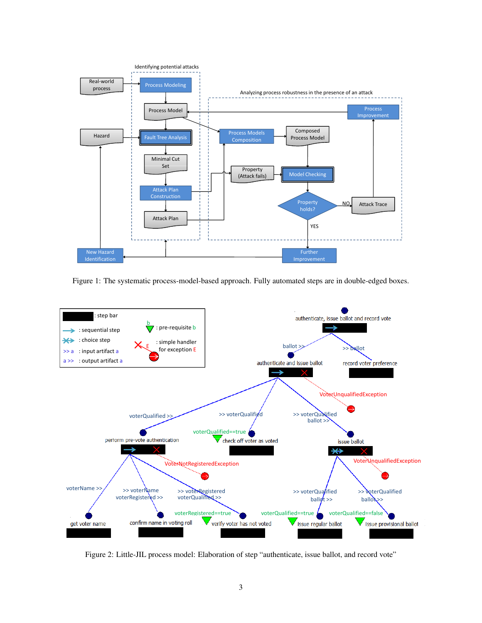

<span id="page-2-0"></span>Figure 1: The systematic process-model-based approach. Fully automated steps are in double-edged boxes.



<span id="page-2-1"></span>Figure 2: Little-JIL process model: Elaboration of step "authenticate, issue ballot, and record vote"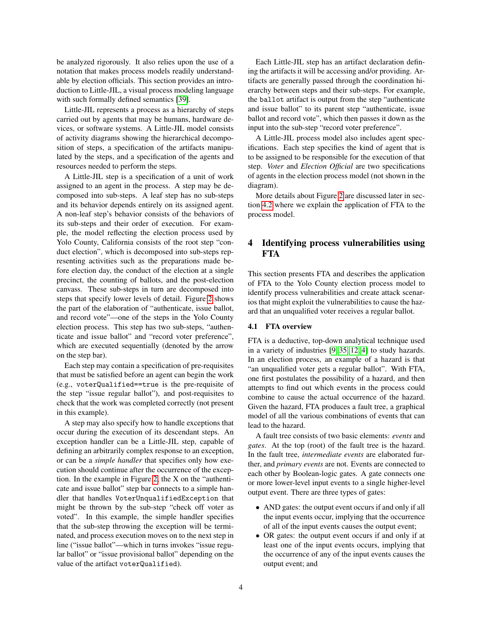be analyzed rigorously. It also relies upon the use of a notation that makes process models readily understandable by election officials. This section provides an introduction to Little-JIL, a visual process modeling language with such formally defined semantics [\[39\]](#page-15-2).

Little-JIL represents a process as a hierarchy of steps carried out by agents that may be humans, hardware devices, or software systems. A Little-JIL model consists of activity diagrams showing the hierarchical decomposition of steps, a specification of the artifacts manipulated by the steps, and a specification of the agents and resources needed to perform the steps.

A Little-JIL step is a specification of a unit of work assigned to an agent in the process. A step may be decomposed into sub-steps. A leaf step has no sub-steps and its behavior depends entirely on its assigned agent. A non-leaf step's behavior consists of the behaviors of its sub-steps and their order of execution. For example, the model reflecting the election process used by Yolo County, California consists of the root step "conduct election", which is decomposed into sub-steps representing activities such as the preparations made before election day, the conduct of the election at a single precinct, the counting of ballots, and the post-election canvass. These sub-steps in turn are decomposed into steps that specify lower levels of detail. Figure [2](#page-2-1) shows the part of the elaboration of "authenticate, issue ballot, and record vote"—one of the steps in the Yolo County election process. This step has two sub-steps, "authenticate and issue ballot" and "record voter preference", which are executed sequentially (denoted by the arrow on the step bar).

Each step may contain a specification of pre-requisites that must be satisfied before an agent can begin the work (e.g., voterQualified==true is the pre-requisite of the step "issue regular ballot"), and post-requisites to check that the work was completed correctly (not present in this example).

A step may also specify how to handle exceptions that occur during the execution of its descendant steps. An exception handler can be a Little-JIL step, capable of defining an arbitrarily complex response to an exception, or can be a *simple handler* that specifies only how execution should continue after the occurrence of the exception. In the example in Figure [2,](#page-2-1) the X on the "authenticate and issue ballot" step bar connects to a simple handler that handles VoterUnqualifiedException that might be thrown by the sub-step "check off voter as voted". In this example, the simple handler specifies that the sub-step throwing the exception will be terminated, and process execution moves on to the next step in line ("issue ballot"—which in turns invokes "issue regular ballot" or "issue provisional ballot" depending on the value of the artifact voterQualified).

Each Little-JIL step has an artifact declaration defining the artifacts it will be accessing and/or providing. Artifacts are generally passed through the coordination hierarchy between steps and their sub-steps. For example, the ballot artifact is output from the step "authenticate and issue ballot" to its parent step "authenticate, issue ballot and record vote", which then passes it down as the input into the sub-step "record voter preference".

A Little-JIL process model also includes agent specifications. Each step specifies the kind of agent that is to be assigned to be responsible for the execution of that step. *Voter* and *Election Official* are two specifications of agents in the election process model (not shown in the diagram).

More details about Figure [2](#page-2-1) are discussed later in section [4.2](#page-4-0) where we explain the application of FTA to the process model.

## <span id="page-3-0"></span>4 Identifying process vulnerabilities using **FTA**

This section presents FTA and describes the application of FTA to the Yolo County election process model to identify process vulnerabilities and create attack scenarios that might exploit the vulnerabilities to cause the hazard that an unqualified voter receives a regular ballot.

### 4.1 FTA overview

FTA is a deductive, top-down analytical technique used in a variety of industries [\[9,](#page-13-6) [35,](#page-15-3) [12,](#page-13-7) [4\]](#page-13-8) to study hazards. In an election process, an example of a hazard is that "an unqualified voter gets a regular ballot". With FTA, one first postulates the possibility of a hazard, and then attempts to find out which events in the process could combine to cause the actual occurrence of the hazard. Given the hazard, FTA produces a fault tree, a graphical model of all the various combinations of events that can lead to the hazard.

A fault tree consists of two basic elements: *events* and *gates*. At the top (root) of the fault tree is the hazard. In the fault tree, *intermediate events* are elaborated further, and *primary events* are not. Events are connected to each other by Boolean-logic gates. A gate connects one or more lower-level input events to a single higher-level output event. There are three types of gates:

- AND gates: the output event occurs if and only if all the input events occur, implying that the occurrence of all of the input events causes the output event;
- OR gates: the output event occurs if and only if at least one of the input events occurs, implying that the occurrence of any of the input events causes the output event; and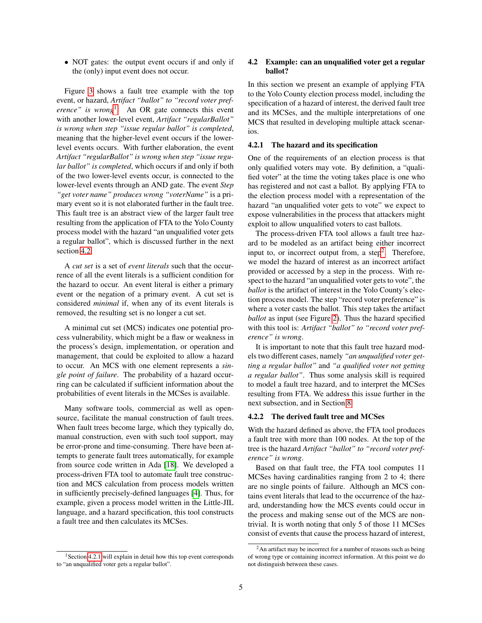• NOT gates: the output event occurs if and only if the (only) input event does not occur.

Figure [3](#page-5-0) shows a fault tree example with the top event, or hazard, *Artifact "ballot" to "record voter preference" is wrong*[1](#page-4-1) . An OR gate connects this event with another lower-level event, *Artifact "regularBallot" is wrong when step "issue regular ballot" is completed*, meaning that the higher-level event occurs if the lowerlevel events occurs. With further elaboration, the event *Artifact "regularBallot" is wrong when step "issue regular ballot" is completed*, which occurs if and only if both of the two lower-level events occur, is connected to the lower-level events through an AND gate. The event *Step "get voter name" produces wrong "voterName"* is a primary event so it is not elaborated further in the fault tree. This fault tree is an abstract view of the larger fault tree resulting from the application of FTA to the Yolo County process model with the hazard "an unqualified voter gets a regular ballot", which is discussed further in the next section [4.2.](#page-4-0)

A *cut set* is a set of *event literals* such that the occurrence of all the event literals is a sufficient condition for the hazard to occur. An event literal is either a primary event or the negation of a primary event. A cut set is considered *minimal* if, when any of its event literals is removed, the resulting set is no longer a cut set.

A minimal cut set (MCS) indicates one potential process vulnerability, which might be a flaw or weakness in the process's design, implementation, or operation and management, that could be exploited to allow a hazard to occur. An MCS with one element represents a *single point of failure*. The probability of a hazard occurring can be calculated if sufficient information about the probabilities of event literals in the MCSes is available.

Many software tools, commercial as well as opensource, facilitate the manual construction of fault trees. When fault trees become large, which they typically do, manual construction, even with such tool support, may be error-prone and time-consuming. There have been attempts to generate fault trees automatically, for example from source code written in Ada [\[18\]](#page-14-9). We developed a process-driven FTA tool to automate fault tree construction and MCS calculation from process models written in sufficiently precisely-defined languages [\[4\]](#page-13-8). Thus, for example, given a process model written in the Little-JIL language, and a hazard specification, this tool constructs a fault tree and then calculates its MCSes.

### <span id="page-4-0"></span>4.2 Example: can an unqualified voter get a regular ballot?

In this section we present an example of applying FTA to the Yolo County election process model, including the specification of a hazard of interest, the derived fault tree and its MCSes, and the multiple interpretations of one MCS that resulted in developing multiple attack scenarios.

#### <span id="page-4-2"></span>4.2.1 The hazard and its specification

One of the requirements of an election process is that only qualified voters may vote. By definition, a "qualified voter" at the time the voting takes place is one who has registered and not cast a ballot. By applying FTA to the election process model with a representation of the hazard "an unqualified voter gets to vote" we expect to expose vulnerabilities in the process that attackers might exploit to allow unqualified voters to cast ballots.

The process-driven FTA tool allows a fault tree hazard to be modeled as an artifact being either incorrect input to, or incorrect output from, a step<sup>[2](#page-4-3)</sup>. Therefore, we model the hazard of interest as an incorrect artifact provided or accessed by a step in the process. With respect to the hazard "an unqualified voter gets to vote", the *ballot* is the artifact of interest in the Yolo County's election process model. The step "record voter preference" is where a voter casts the ballot. This step takes the artifact *ballot* as input (see Figure [2\)](#page-2-1). Thus the hazard specified with this tool is: *Artifact "ballot" to "record voter preference" is wrong*.

It is important to note that this fault tree hazard models two different cases, namely *"an unqualified voter getting a regular ballot"* and *"a qualified voter not getting a regular ballot"*. Thus some analysis skill is required to model a fault tree hazard, and to interpret the MCSes resulting from FTA. We address this issue further in the next subsection, and in Section [8.](#page-12-0)

#### 4.2.2 The derived fault tree and MCSes

With the hazard defined as above, the FTA tool produces a fault tree with more than 100 nodes. At the top of the tree is the hazard *Artifact "ballot" to "record voter preference" is wrong*.

Based on that fault tree, the FTA tool computes 11 MCSes having cardinalities ranging from 2 to 4; there are no single points of failure. Although an MCS contains event literals that lead to the occurrence of the hazard, understanding how the MCS events could occur in the process and making sense out of the MCS are nontrivial. It is worth noting that only 5 of those 11 MCSes consist of events that cause the process hazard of interest,

<span id="page-4-1"></span> $1$ Section [4.2.1](#page-4-2) will explain in detail how this top event corresponds to "an unqualified voter gets a regular ballot".

<span id="page-4-3"></span><sup>&</sup>lt;sup>2</sup>An artifact may be incorrect for a number of reasons such as being of wrong type or containing incorrect information. At this point we do not distinguish between these cases.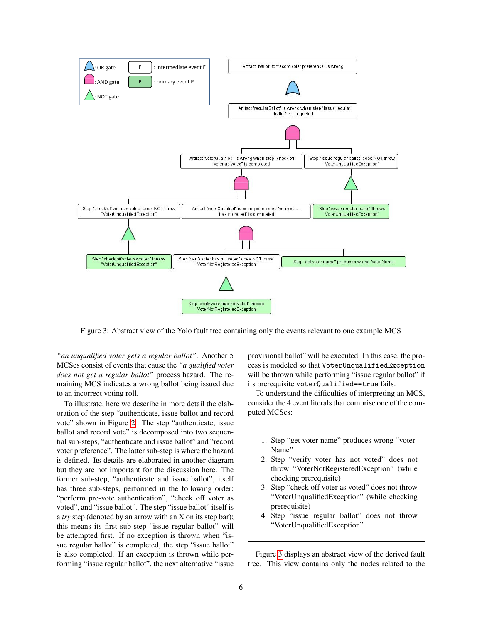

<span id="page-5-0"></span>Figure 3: Abstract view of the Yolo fault tree containing only the events relevant to one example MCS

*"an unqualified voter gets a regular ballot"*. Another 5 MCSes consist of events that cause the *"a qualified voter does not get a regular ballot"* process hazard. The remaining MCS indicates a wrong ballot being issued due to an incorrect voting roll.

To illustrate, here we describe in more detail the elaboration of the step "authenticate, issue ballot and record vote" shown in Figure [2.](#page-2-1) The step "authenticate, issue ballot and record vote" is decomposed into two sequential sub-steps, "authenticate and issue ballot" and "record voter preference". The latter sub-step is where the hazard is defined. Its details are elaborated in another diagram but they are not important for the discussion here. The former sub-step, "authenticate and issue ballot", itself has three sub-steps, performed in the following order: "perform pre-vote authentication", "check off voter as voted", and "issue ballot". The step "issue ballot" itself is a *try* step (denoted by an arrow with an X on its step bar); this means its first sub-step "issue regular ballot" will be attempted first. If no exception is thrown when "issue regular ballot" is completed, the step "issue ballot" is also completed. If an exception is thrown while performing "issue regular ballot", the next alternative "issue provisional ballot" will be executed. In this case, the process is modeled so that VoterUnqualifiedException will be thrown while performing "issue regular ballot" if its prerequisite voterQualified==true fails.

To understand the difficulties of interpreting an MCS, consider the 4 event literals that comprise one of the computed MCSes:

- 1. Step "get voter name" produces wrong "voter-Name'
- 2. Step "verify voter has not voted" does not throw "VoterNotRegisteredException" (while checking prerequisite)
- 3. Step "check off voter as voted" does not throw "VoterUnqualifiedException" (while checking prerequisite)
- 4. Step "issue regular ballot" does not throw "VoterUnqualifiedException"

Figure [3](#page-5-0) displays an abstract view of the derived fault tree. This view contains only the nodes related to the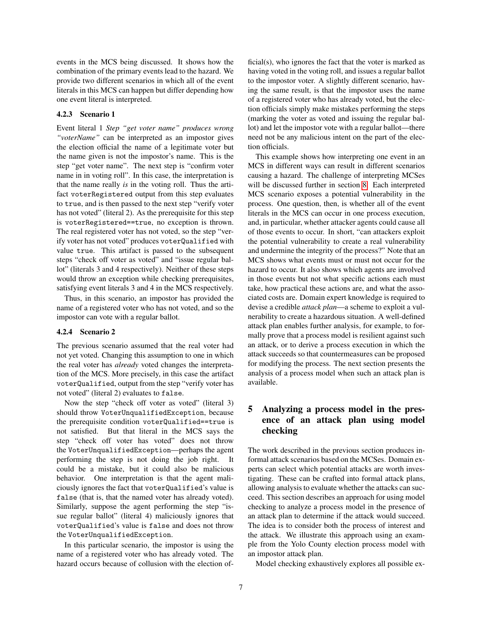events in the MCS being discussed. It shows how the combination of the primary events lead to the hazard. We provide two different scenarios in which all of the event literals in this MCS can happen but differ depending how one event literal is interpreted.

### <span id="page-6-1"></span>4.2.3 Scenario 1

Event literal 1 *Step "get voter name" produces wrong "voterName"* can be interpreted as an impostor gives the election official the name of a legitimate voter but the name given is not the impostor's name. This is the step "get voter name". The next step is "confirm voter name in in voting roll". In this case, the interpretation is that the name really *is* in the voting roll. Thus the artifact voterRegistered output from this step evaluates to true, and is then passed to the next step "verify voter has not voted" (literal 2). As the prerequisite for this step is voterRegistered==true, no exception is thrown. The real registered voter has not voted, so the step "verify voter has not voted" produces voterQualified with value true. This artifact is passed to the subsequent steps "check off voter as voted" and "issue regular ballot" (literals 3 and 4 respectively). Neither of these steps would throw an exception while checking prerequisites, satisfying event literals 3 and 4 in the MCS respectively.

Thus, in this scenario, an impostor has provided the name of a registered voter who has not voted, and so the impostor can vote with a regular ballot.

### <span id="page-6-2"></span>4.2.4 Scenario 2

The previous scenario assumed that the real voter had not yet voted. Changing this assumption to one in which the real voter has *already* voted changes the interpretation of the MCS. More precisely, in this case the artifact voterQualified, output from the step "verify voter has not voted" (literal 2) evaluates to false.

Now the step "check off voter as voted" (literal 3) should throw VoterUnqualifiedException, because the prerequisite condition voterQualified==true is not satisfied. But that literal in the MCS says the step "check off voter has voted" does not throw the VoterUnqualifiedException—perhaps the agent performing the step is not doing the job right. It could be a mistake, but it could also be malicious behavior. One interpretation is that the agent maliciously ignores the fact that voterQualified's value is false (that is, that the named voter has already voted). Similarly, suppose the agent performing the step "issue regular ballot" (literal 4) maliciously ignores that voterQualified's value is false and does not throw the VoterUnqualifiedException.

In this particular scenario, the impostor is using the name of a registered voter who has already voted. The hazard occurs because of collusion with the election official(s), who ignores the fact that the voter is marked as having voted in the voting roll, and issues a regular ballot to the impostor voter. A slightly different scenario, having the same result, is that the impostor uses the name of a registered voter who has already voted, but the election officials simply make mistakes performing the steps (marking the voter as voted and issuing the regular ballot) and let the impostor vote with a regular ballot—there need not be any malicious intent on the part of the election officials.

This example shows how interpreting one event in an MCS in different ways can result in different scenarios causing a hazard. The challenge of interpreting MCSes will be discussed further in section [8.](#page-12-0) Each interpreted MCS scenario exposes a potential vulnerability in the process. One question, then, is whether all of the event literals in the MCS can occur in one process execution, and, in particular, whether attacker agents could cause all of those events to occur. In short, "can attackers exploit the potential vulnerability to create a real vulnerability and undermine the integrity of the process?" Note that an MCS shows what events must or must not occur for the hazard to occur. It also shows which agents are involved in those events but not what specific actions each must take, how practical these actions are, and what the associated costs are. Domain expert knowledge is required to devise a credible *attack plan*—a scheme to exploit a vulnerability to create a hazardous situation. A well-defined attack plan enables further analysis, for example, to formally prove that a process model is resilient against such an attack, or to derive a process execution in which the attack succeeds so that countermeasures can be proposed for modifying the process. The next section presents the analysis of a process model when such an attack plan is available.

## <span id="page-6-0"></span>5 Analyzing a process model in the presence of an attack plan using model checking

The work described in the previous section produces informal attack scenarios based on the MCSes. Domain experts can select which potential attacks are worth investigating. These can be crafted into formal attack plans, allowing analysis to evaluate whether the attacks can succeed. This section describes an approach for using model checking to analyze a process model in the presence of an attack plan to determine if the attack would succeed. The idea is to consider both the process of interest and the attack. We illustrate this approach using an example from the Yolo County election process model with an impostor attack plan.

Model checking exhaustively explores all possible ex-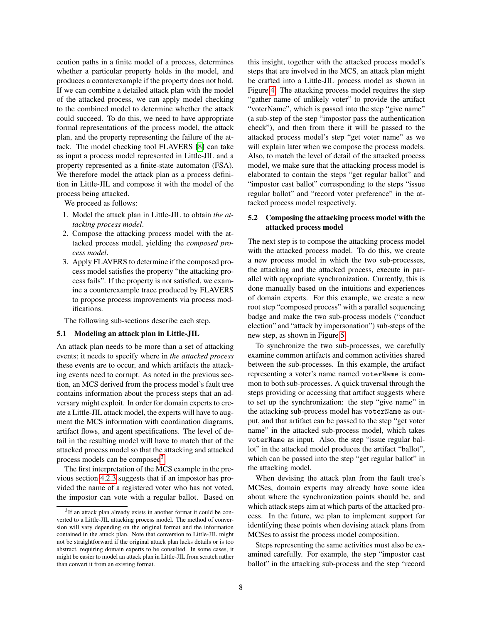ecution paths in a finite model of a process, determines whether a particular property holds in the model, and produces a counterexample if the property does not hold. If we can combine a detailed attack plan with the model of the attacked process, we can apply model checking to the combined model to determine whether the attack could succeed. To do this, we need to have appropriate formal representations of the process model, the attack plan, and the property representing the failure of the attack. The model checking tool FLAVERS [\[8\]](#page-13-9) can take as input a process model represented in Little-JIL and a property represented as a finite-state automaton (FSA). We therefore model the attack plan as a process definition in Little-JIL and compose it with the model of the process being attacked.

We proceed as follows:

- 1. Model the attack plan in Little-JIL to obtain *the attacking process model*.
- 2. Compose the attacking process model with the attacked process model, yielding the *composed process model*.
- 3. Apply FLAVERS to determine if the composed process model satisfies the property "the attacking process fails". If the property is not satisfied, we examine a counterexample trace produced by FLAVERS to propose process improvements via process modifications.

The following sub-sections describe each step.

### 5.1 Modeling an attack plan in Little-JIL

An attack plan needs to be more than a set of attacking events; it needs to specify where in *the attacked process* these events are to occur, and which artifacts the attacking events need to corrupt. As noted in the previous section, an MCS derived from the process model's fault tree contains information about the process steps that an adversary might exploit. In order for domain experts to create a Little-JIL attack model, the experts will have to augment the MCS information with coordination diagrams, artifact flows, and agent specifications. The level of detail in the resulting model will have to match that of the attacked process model so that the attacking and attacked process models can be composed<sup>[3](#page-7-0)</sup>.

The first interpretation of the MCS example in the previous section [4.2.3](#page-6-1) suggests that if an impostor has provided the name of a registered voter who has not voted, the impostor can vote with a regular ballot. Based on this insight, together with the attacked process model's steps that are involved in the MCS, an attack plan might be crafted into a Little-JIL process model as shown in Figure [4.](#page-8-0) The attacking process model requires the step "gather name of unlikely voter" to provide the artifact "voterName", which is passed into the step "give name" (a sub-step of the step "impostor pass the authentication check"), and then from there it will be passed to the attacked process model's step "get voter name" as we will explain later when we compose the process models. Also, to match the level of detail of the attacked process model, we make sure that the attacking process model is elaborated to contain the steps "get regular ballot" and "impostor cast ballot" corresponding to the steps "issue regular ballot" and "record voter preference" in the attacked process model respectively.

### <span id="page-7-1"></span>5.2 Composing the attacking process model with the attacked process model

The next step is to compose the attacking process model with the attacked process model. To do this, we create a new process model in which the two sub-processes, the attacking and the attacked process, execute in parallel with appropriate synchronization. Currently, this is done manually based on the intuitions and experiences of domain experts. For this example, we create a new root step "composed process" with a parallel sequencing badge and make the two sub-process models ("conduct election" and "attack by impersonation") sub-steps of the new step, as shown in Figure [5.](#page-8-1)

To synchronize the two sub-processes, we carefully examine common artifacts and common activities shared between the sub-processes. In this example, the artifact representing a voter's name named voterName is common to both sub-processes. A quick traversal through the steps providing or accessing that artifact suggests where to set up the synchronization: the step "give name" in the attacking sub-process model has voterName as output, and that artifact can be passed to the step "get voter name" in the attacked sub-process model, which takes voterName as input. Also, the step "issue regular ballot" in the attacked model produces the artifact "ballot", which can be passed into the step "get regular ballot" in the attacking model.

When devising the attack plan from the fault tree's MCSes, domain experts may already have some idea about where the synchronization points should be, and which attack steps aim at which parts of the attacked process. In the future, we plan to implement support for identifying these points when devising attack plans from MCSes to assist the process model composition.

Steps representing the same activities must also be examined carefully. For example, the step "impostor cast ballot" in the attacking sub-process and the step "record

<span id="page-7-0"></span><sup>&</sup>lt;sup>3</sup>If an attack plan already exists in another format it could be converted to a Little-JIL attacking process model. The method of conversion will vary depending on the original format and the information contained in the attack plan. Note that conversion to Little-JIL might not be straightforward if the original attack plan lacks details or is too abstract, requiring domain experts to be consulted. In some cases, it might be easier to model an attack plan in Little-JIL from scratch rather than convert it from an existing format.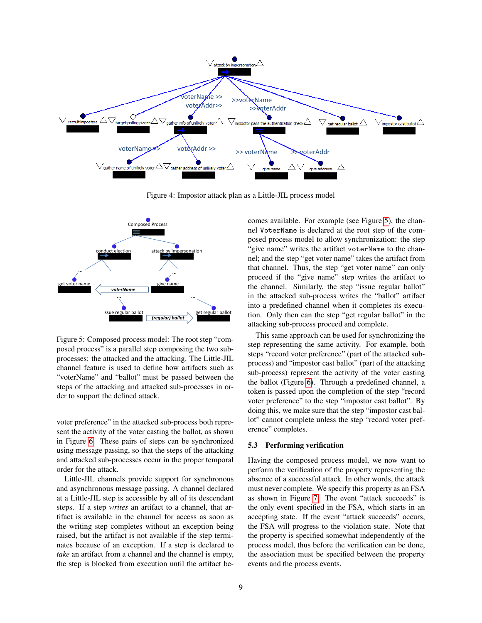

Figure 4: Impostor attack plan as a Little-JIL process model



<span id="page-8-1"></span>Figure 5: Composed process model: The root step "composed process" is a parallel step composing the two subprocesses: the attacked and the attacking. The Little-JIL channel feature is used to define how artifacts such as "voterName" and "ballot" must be passed between the steps of the attacking and attacked sub-processes in order to support the defined attack.

voter preference" in the attacked sub-process both represent the activity of the voter casting the ballot, as shown in Figure [6.](#page-9-0) These pairs of steps can be synchronized using message passing, so that the steps of the attacking and attacked sub-processes occur in the proper temporal order for the attack.

Little-JIL channels provide support for synchronous and asynchronous message passing. A channel declared at a Little-JIL step is accessible by all of its descendant steps. If a step *writes* an artifact to a channel, that artifact is available in the channel for access as soon as the writing step completes without an exception being raised, but the artifact is not available if the step terminates because of an exception. If a step is declared to *take* an artifact from a channel and the channel is empty, the step is blocked from execution until the artifact be-

<span id="page-8-0"></span><sup>32</sup> In the attacked sub-process writes the "ballot" artifact in the attacked sub-process writes the "ballot" artifact comes available. For example (see Figure [5\)](#page-8-1), the channel VoterName is declared at the root step of the composed process model to allow synchronization: the step "give name" writes the artifact voterName to the channel; and the step "get voter name" takes the artifact from that channel. Thus, the step "get voter name" can only proceed if the "give name" step writes the artifact to the channel. Similarly, the step "issue regular ballot" into a predefined channel when it completes its execution. Only then can the step "get regular ballot" in the attacking sub-process proceed and complete.

> This same approach can be used for synchronizing the step representing the same activity. For example, both steps "record voter preference" (part of the attacked subprocess) and "impostor cast ballot" (part of the attacking sub-process) represent the activity of the voter casting the ballot (Figure [6\)](#page-9-0). Through a predefined channel, a token is passed upon the completion of the step "record voter preference" to the step "impostor cast ballot". By doing this, we make sure that the step "impostor cast ballot" cannot complete unless the step "record voter preference" completes.

### 5.3 Performing verification

Having the composed process model, we now want to perform the verification of the property representing the absence of a successful attack. In other words, the attack must never complete. We specify this property as an FSA as shown in Figure [7.](#page-9-1) The event "attack succeeds" is the only event specified in the FSA, which starts in an accepting state. If the event "attack succeeds" occurs, the FSA will progress to the violation state. Note that the property is specified somewhat independently of the process model, thus before the verification can be done, the association must be specified between the property events and the process events.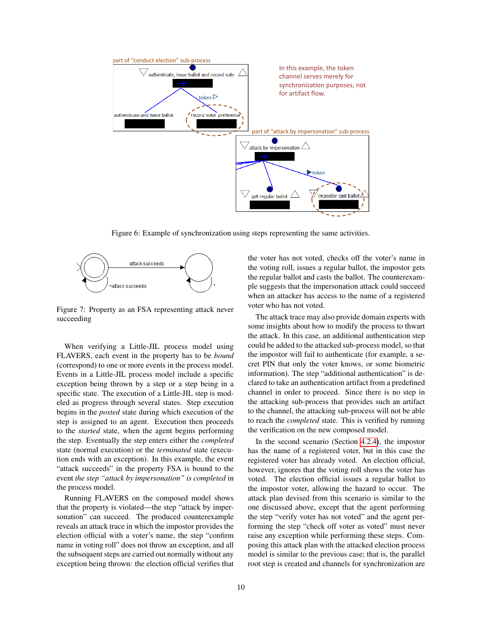

<span id="page-9-0"></span>Figure 6: Example of synchronization using steps representing the same activities.



<span id="page-9-1"></span>Figure 7: Property as an FSA representing attack never succeeding

When verifying a Little-JIL process model using FLAVERS, each event in the property has to be *bound* (correspond) to one or more events in the process model. Events in a Little-JIL process model include a specific exception being thrown by a step or a step being in a specific state. The execution of a Little-JIL step is modeled as progress through several states. Step execution begins in the *posted* state during which execution of the step is assigned to an agent. Execution then proceeds to the *started* state, when the agent begins performing the step. Eventually the step enters either the *completed* state (normal execution) or the *terminated* state (execution ends with an exception). In this example, the event "attack succeeds" in the property FSA is bound to the event *the step "attack by impersonation" is completed* in the process model.

Running FLAVERS on the composed model shows that the property is violated—the step "attack by impersonation" can succeed. The produced counterexample reveals an attack trace in which the impostor provides the election official with a voter's name, the step "confirm name in voting roll" does not throw an exception, and all the subsequent steps are carried out normally without any exception being thrown: the election official verifies that the voter has not voted, checks off the voter's name in the voting roll, issues a regular ballot, the impostor gets the regular ballot and casts the ballot. The counterexample suggests that the impersonation attack could succeed when an attacker has access to the name of a registered voter who has not voted.

The attack trace may also provide domain experts with some insights about how to modify the process to thwart the attack. In this case, an additional authentication step could be added to the attacked sub-process model, so that the impostor will fail to authenticate (for example, a secret PIN that only the voter knows, or some biometric information). The step "additional authentication" is declared to take an authentication artifact from a predefined channel in order to proceed. Since there is no step in the attacking sub-process that provides such an artifact to the channel, the attacking sub-process will not be able to reach the *completed* state. This is verified by running the verification on the new composed model.

In the second scenario (Section [4.2.4\)](#page-6-2), the impostor has the name of a registered voter, but in this case the registered voter has already voted. An election official, however, ignores that the voting roll shows the voter has voted. The election official issues a regular ballot to the impostor voter, allowing the hazard to occur. The attack plan devised from this scenario is similar to the one discussed above, except that the agent performing the step "verify voter has not voted" and the agent performing the step "check off voter as voted" must never raise any exception while performing these steps. Composing this attack plan with the attacked election process model is similar to the previous case; that is, the parallel root step is created and channels for synchronization are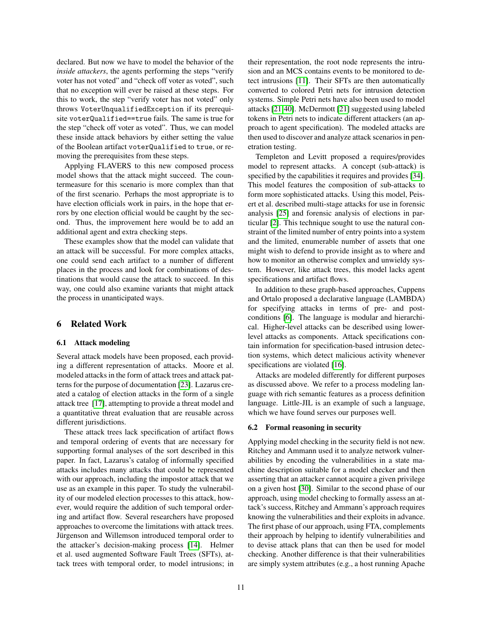declared. But now we have to model the behavior of the *inside attackers*, the agents performing the steps "verify voter has not voted" and "check off voter as voted", such that no exception will ever be raised at these steps. For this to work, the step "verify voter has not voted" only throws VoterUnqualifiedException if its prerequisite voterQualified==true fails. The same is true for the step "check off voter as voted". Thus, we can model these inside attack behaviors by either setting the value of the Boolean artifact voterQualified to true, or removing the prerequisites from these steps.

Applying FLAVERS to this new composed process model shows that the attack might succeed. The countermeasure for this scenario is more complex than that of the first scenario. Perhaps the most appropriate is to have election officials work in pairs, in the hope that errors by one election official would be caught by the second. Thus, the improvement here would be to add an additional agent and extra checking steps.

These examples show that the model can validate that an attack will be successful. For more complex attacks, one could send each artifact to a number of different places in the process and look for combinations of destinations that would cause the attack to succeed. In this way, one could also examine variants that might attack the process in unanticipated ways.

## <span id="page-10-0"></span>6 Related Work

### 6.1 Attack modeling

Several attack models have been proposed, each providing a different representation of attacks. Moore et al. modeled attacks in the form of attack trees and attack patterns for the purpose of documentation [\[23\]](#page-14-10). Lazarus created a catalog of election attacks in the form of a single attack tree [\[17\]](#page-14-11), attempting to provide a threat model and a quantitative threat evaluation that are reusable across different jurisdictions.

These attack trees lack specification of artifact flows and temporal ordering of events that are necessary for supporting formal analyses of the sort described in this paper. In fact, Lazarus's catalog of informally specified attacks includes many attacks that could be represented with our approach, including the impostor attack that we use as an example in this paper. To study the vulnerability of our modeled election processes to this attack, however, would require the addition of such temporal ordering and artifact flow. Several researchers have proposed approaches to overcome the limitations with attack trees. Jürgenson and Willemson introduced temporal order to the attacker's decision-making process [\[14\]](#page-13-10). Helmer et al. used augmented Software Fault Trees (SFTs), attack trees with temporal order, to model intrusions; in their representation, the root node represents the intrusion and an MCS contains events to be monitored to detect intrusions [\[11\]](#page-13-11). Their SFTs are then automatically converted to colored Petri nets for intrusion detection systems. Simple Petri nets have also been used to model attacks [\[21,](#page-14-12)[40\]](#page-15-4). McDermott [\[21\]](#page-14-12) suggested using labeled tokens in Petri nets to indicate different attackers (an approach to agent specification). The modeled attacks are then used to discover and analyze attack scenarios in penetration testing.

Templeton and Levitt proposed a requires/provides model to represent attacks. A concept (sub-attack) is specified by the capabilities it requires and provides [\[34\]](#page-15-5). This model features the composition of sub-attacks to form more sophisticated attacks. Using this model, Peisert et al. described multi-stage attacks for use in forensic analysis [\[25\]](#page-14-5) and forensic analysis of elections in particular [\[2\]](#page-13-12). This technique sought to use the natural constraint of the limited number of entry points into a system and the limited, enumerable number of assets that one might wish to defend to provide insight as to where and how to monitor an otherwise complex and unwieldy system. However, like attack trees, this model lacks agent specifications and artifact flows.

In addition to these graph-based approaches, Cuppens and Ortalo proposed a declarative language (LAMBDA) for specifying attacks in terms of pre- and postconditions [\[6\]](#page-13-4). The language is modular and hierarchical. Higher-level attacks can be described using lowerlevel attacks as components. Attack specifications contain information for specification-based intrusion detection systems, which detect malicious activity whenever specifications are violated [\[16\]](#page-14-13).

Attacks are modeled differently for different purposes as discussed above. We refer to a process modeling language with rich semantic features as a process definition language. Little-JIL is an example of such a language, which we have found serves our purposes well.

### 6.2 Formal reasoning in security

Applying model checking in the security field is not new. Ritchey and Ammann used it to analyze network vulnerabilities by encoding the vulnerabilities in a state machine description suitable for a model checker and then asserting that an attacker cannot acquire a given privilege on a given host [\[30\]](#page-14-7). Similar to the second phase of our approach, using model checking to formally assess an attack's success, Ritchey and Ammann's approach requires knowing the vulnerabilities and their exploits in advance. The first phase of our approach, using FTA, complements their approach by helping to identify vulnerabilities and to devise attack plans that can then be used for model checking. Another difference is that their vulnerabilities are simply system attributes (e.g., a host running Apache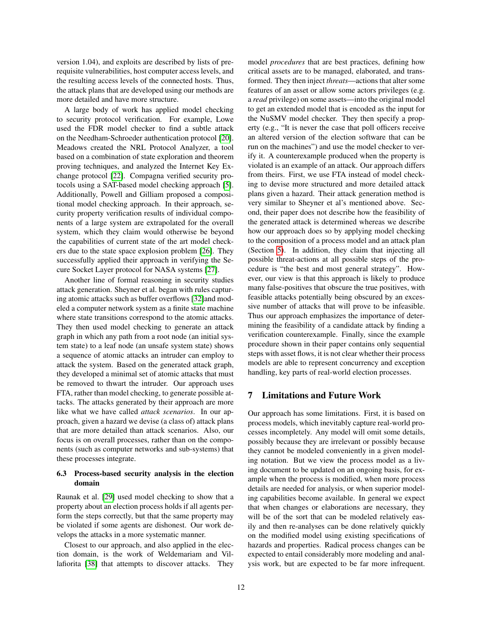version 1.04), and exploits are described by lists of prerequisite vulnerabilities, host computer access levels, and the resulting access levels of the connected hosts. Thus, the attack plans that are developed using our methods are more detailed and have more structure.

A large body of work has applied model checking to security protocol verification. For example, Lowe used the FDR model checker to find a subtle attack on the Needham-Schroeder authentication protocol [\[20\]](#page-14-14). Meadows created the NRL Protocol Analyzer, a tool based on a combination of state exploration and theorem proving techniques, and analyzed the Internet Key Exchange protocol [\[22\]](#page-14-15). Compagna verified security protocols using a SAT-based model checking approach [\[5\]](#page-13-13). Additionally, Powell and Gilliam proposed a compositional model checking approach. In their approach, security property verification results of individual components of a large system are extrapolated for the overall system, which they claim would otherwise be beyond the capabilities of current state of the art model checkers due to the state space explosion problem [\[26\]](#page-14-16). They successfully applied their approach in verifying the Secure Socket Layer protocol for NASA systems [\[27\]](#page-14-17).

Another line of formal reasoning in security studies attack generation. Sheyner et al. began with rules capturing atomic attacks such as buffer overflows [\[32\]](#page-14-4)and modeled a computer network system as a finite state machine where state transitions correspond to the atomic attacks. They then used model checking to generate an attack graph in which any path from a root node (an initial system state) to a leaf node (an unsafe system state) shows a sequence of atomic attacks an intruder can employ to attack the system. Based on the generated attack graph, they developed a minimal set of atomic attacks that must be removed to thwart the intruder. Our approach uses FTA, rather than model checking, to generate possible attacks. The attacks generated by their approach are more like what we have called *attack scenarios*. In our approach, given a hazard we devise (a class of) attack plans that are more detailed than attack scenarios. Also, our focus is on overall processes, rather than on the components (such as computer networks and sub-systems) that these processes integrate.

## 6.3 Process-based security analysis in the election domain

Raunak et al. [\[29\]](#page-14-18) used model checking to show that a property about an election process holds if all agents perform the steps correctly, but that the same property may be violated if some agents are dishonest. Our work develops the attacks in a more systematic manner.

Closest to our approach, and also applied in the election domain, is the work of Weldemariam and Villafiorita [\[38\]](#page-15-6) that attempts to discover attacks. They model *procedures* that are best practices, defining how critical assets are to be managed, elaborated, and transformed. They then inject *threats*—actions that alter some features of an asset or allow some actors privileges (e.g. a *read* privilege) on some assets—into the original model to get an extended model that is encoded as the input for the NuSMV model checker. They then specify a property (e.g., "It is never the case that poll officers receive an altered version of the election software that can be run on the machines") and use the model checker to verify it. A counterexample produced when the property is violated is an example of an attack. Our approach differs from theirs. First, we use FTA instead of model checking to devise more structured and more detailed attack plans given a hazard. Their attack generation method is very similar to Sheyner et al's mentioned above. Second, their paper does not describe how the feasibility of the generated attack is determined whereas we describe how our approach does so by applying model checking to the composition of a process model and an attack plan (Section [5\)](#page-6-0). In addition, they claim that injecting all possible threat-actions at all possible steps of the procedure is "the best and most general strategy". However, our view is that this approach is likely to produce many false-positives that obscure the true positives, with feasible attacks potentially being obscured by an excessive number of attacks that will prove to be infeasible. Thus our approach emphasizes the importance of determining the feasibility of a candidate attack by finding a verification counterexample. Finally, since the example procedure shown in their paper contains only sequential steps with asset flows, it is not clear whether their process models are able to represent concurrency and exception handling, key parts of real-world election processes.

## <span id="page-11-0"></span>7 Limitations and Future Work

Our approach has some limitations. First, it is based on process models, which inevitably capture real-world processes incompletely. Any model will omit some details, possibly because they are irrelevant or possibly because they cannot be modeled conveniently in a given modeling notation. But we view the process model as a living document to be updated on an ongoing basis, for example when the process is modified, when more process details are needed for analysis, or when superior modeling capabilities become available. In general we expect that when changes or elaborations are necessary, they will be of the sort that can be modeled relatively easily and then re-analyses can be done relatively quickly on the modified model using existing specifications of hazards and properties. Radical process changes can be expected to entail considerably more modeling and analysis work, but are expected to be far more infrequent.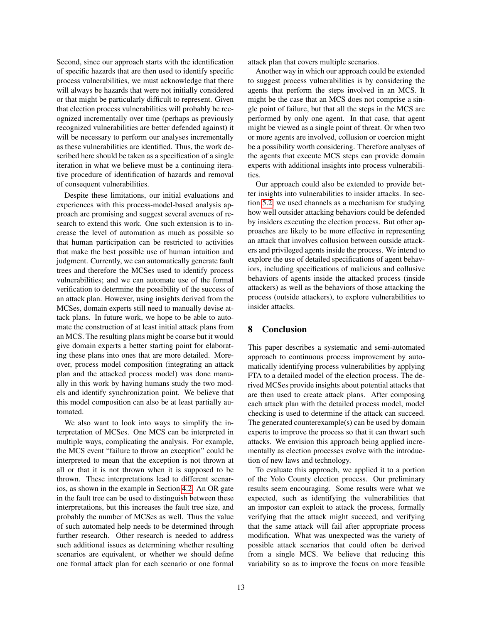Second, since our approach starts with the identification of specific hazards that are then used to identify specific process vulnerabilities, we must acknowledge that there will always be hazards that were not initially considered or that might be particularly difficult to represent. Given that election process vulnerabilities will probably be recognized incrementally over time (perhaps as previously recognized vulnerabilities are better defended against) it will be necessary to perform our analyses incrementally as these vulnerabilities are identified. Thus, the work described here should be taken as a specification of a single iteration in what we believe must be a continuing iterative procedure of identification of hazards and removal of consequent vulnerabilities.

Despite these limitations, our initial evaluations and experiences with this process-model-based analysis approach are promising and suggest several avenues of research to extend this work. One such extension is to increase the level of automation as much as possible so that human participation can be restricted to activities that make the best possible use of human intuition and judgment. Currently, we can automatically generate fault trees and therefore the MCSes used to identify process vulnerabilities; and we can automate use of the formal verification to determine the possibility of the success of an attack plan. However, using insights derived from the MCSes, domain experts still need to manually devise attack plans. In future work, we hope to be able to automate the construction of at least initial attack plans from an MCS. The resulting plans might be coarse but it would give domain experts a better starting point for elaborating these plans into ones that are more detailed. Moreover, process model composition (integrating an attack plan and the attacked process model) was done manually in this work by having humans study the two models and identify synchronization point. We believe that this model composition can also be at least partially automated.

We also want to look into ways to simplify the interpretation of MCSes. One MCS can be interpreted in multiple ways, complicating the analysis. For example, the MCS event "failure to throw an exception" could be interpreted to mean that the exception is not thrown at all or that it is not thrown when it is supposed to be thrown. These interpretations lead to different scenarios, as shown in the example in Section [4.2.](#page-4-0) An OR gate in the fault tree can be used to distinguish between these interpretations, but this increases the fault tree size, and probably the number of MCSes as well. Thus the value of such automated help needs to be determined through further research. Other research is needed to address such additional issues as determining whether resulting scenarios are equivalent, or whether we should define one formal attack plan for each scenario or one formal attack plan that covers multiple scenarios.

Another way in which our approach could be extended to suggest process vulnerabilities is by considering the agents that perform the steps involved in an MCS. It might be the case that an MCS does not comprise a single point of failure, but that all the steps in the MCS are performed by only one agent. In that case, that agent might be viewed as a single point of threat. Or when two or more agents are involved, collusion or coercion might be a possibility worth considering. Therefore analyses of the agents that execute MCS steps can provide domain experts with additional insights into process vulnerabilities.

Our approach could also be extended to provide better insights into vulnerabilities to insider attacks. In section [5.2,](#page-7-1) we used channels as a mechanism for studying how well outsider attacking behaviors could be defended by insiders executing the election process. But other approaches are likely to be more effective in representing an attack that involves collusion between outside attackers and privileged agents inside the process. We intend to explore the use of detailed specifications of agent behaviors, including specifications of malicious and collusive behaviors of agents inside the attacked process (inside attackers) as well as the behaviors of those attacking the process (outside attackers), to explore vulnerabilities to insider attacks.

## <span id="page-12-0"></span>8 Conclusion

This paper describes a systematic and semi-automated approach to continuous process improvement by automatically identifying process vulnerabilities by applying FTA to a detailed model of the election process. The derived MCSes provide insights about potential attacks that are then used to create attack plans. After composing each attack plan with the detailed process model, model checking is used to determine if the attack can succeed. The generated counterexample(s) can be used by domain experts to improve the process so that it can thwart such attacks. We envision this approach being applied incrementally as election processes evolve with the introduction of new laws and technology.

To evaluate this approach, we applied it to a portion of the Yolo County election process. Our preliminary results seem encouraging. Some results were what we expected, such as identifying the vulnerabilities that an impostor can exploit to attack the process, formally verifying that the attack might succeed, and verifying that the same attack will fail after appropriate process modification. What was unexpected was the variety of possible attack scenarios that could often be derived from a single MCS. We believe that reducing this variability so as to improve the focus on more feasible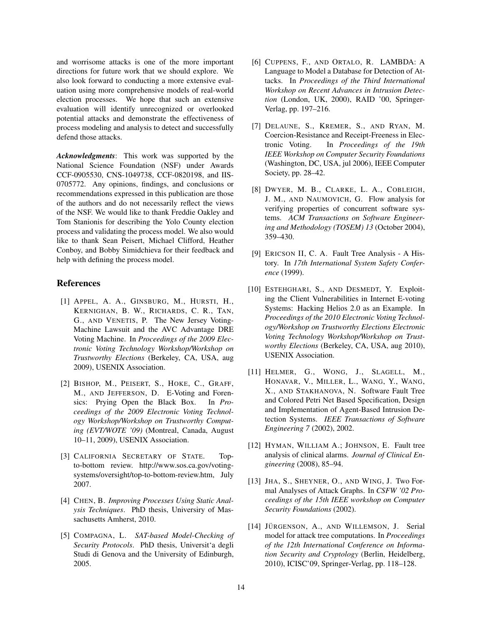and worrisome attacks is one of the more important directions for future work that we should explore. We also look forward to conducting a more extensive evaluation using more comprehensive models of real-world election processes. We hope that such an extensive evaluation will identify unrecognized or overlooked potential attacks and demonstrate the effectiveness of process modeling and analysis to detect and successfully defend those attacks.

*Acknowledgments*: This work was supported by the National Science Foundation (NSF) under Awards CCF-0905530, CNS-1049738, CCF-0820198, and IIS-0705772. Any opinions, findings, and conclusions or recommendations expressed in this publication are those of the authors and do not necessarily reflect the views of the NSF. We would like to thank Freddie Oakley and Tom Stanionis for describing the Yolo County election process and validating the process model. We also would like to thank Sean Peisert, Michael Clifford, Heather Conboy, and Bobby Simidchieva for their feedback and help with defining the process model.

## References

- <span id="page-13-0"></span>[1] APPEL, A. A., GINSBURG, M., HURSTI, H., KERNIGHAN, B. W., RICHARDS, C. R., TAN, G., AND VENETIS, P. The New Jersey Voting-Machine Lawsuit and the AVC Advantage DRE Voting Machine. In *Proceedings of the 2009 Electronic Voting Technology Workshop/Workshop on Trustworthy Elections* (Berkeley, CA, USA, aug 2009), USENIX Association.
- <span id="page-13-12"></span>[2] BISHOP, M., PEISERT, S., HOKE, C., GRAFF, M., AND JEFFERSON, D. E-Voting and Forensics: Prying Open the Black Box. In *Proceedings of the 2009 Electronic Voting Technology Workshop/Workshop on Trustworthy Computing (EVT/WOTE '09)* (Montreal, Canada, August 10–11, 2009), USENIX Association.
- <span id="page-13-1"></span>[3] CALIFORNIA SECRETARY OF STATE. Topto-bottom review. http://www.sos.ca.gov/votingsystems/oversight/top-to-bottom-review.htm, July 2007.
- <span id="page-13-8"></span>[4] CHEN, B. *Improving Processes Using Static Analysis Techniques*. PhD thesis, Universiry of Massachusetts Amherst, 2010.
- <span id="page-13-13"></span>[5] COMPAGNA, L. *SAT-based Model-Checking of Security Protocols*. PhD thesis, Universit'a degli Studi di Genova and the University of Edinburgh, 2005.
- <span id="page-13-4"></span>[6] CUPPENS, F., AND ORTALO, R. LAMBDA: A Language to Model a Database for Detection of Attacks. In *Proceedings of the Third International Workshop on Recent Advances in Intrusion Detection* (London, UK, 2000), RAID '00, Springer-Verlag, pp. 197–216.
- <span id="page-13-3"></span>[7] DELAUNE, S., KREMER, S., AND RYAN, M. Coercion-Resistance and Receipt-Freeness in Electronic Voting. In *Proceedings of the 19th IEEE Workshop on Computer Security Foundations* (Washington, DC, USA, jul 2006), IEEE Computer Society, pp. 28–42.
- <span id="page-13-9"></span>[8] DWYER, M. B., CLARKE, L. A., COBLEIGH, J. M., AND NAUMOVICH, G. Flow analysis for verifying properties of concurrent software systems. *ACM Transactions on Software Engineering and Methodology (TOSEM) 13* (October 2004), 359–430.
- <span id="page-13-6"></span>[9] ERICSON II, C. A. Fault Tree Analysis - A History. In *17th International System Safety Conference* (1999).
- <span id="page-13-2"></span>[10] ESTEHGHARI, S., AND DESMEDT, Y. Exploiting the Client Vulnerabilities in Internet E-voting Systems: Hacking Helios 2.0 as an Example. In *Proceedings of the 2010 Electronic Voting Technology/Workshop on Trustworthy Elections Electronic Voting Technology Workshop/Workshop on Trustworthy Elections* (Berkeley, CA, USA, aug 2010), USENIX Association.
- <span id="page-13-11"></span>[11] HELMER, G., WONG, J., SLAGELL, M., HONAVAR, V., MILLER, L., WANG, Y., WANG, X., AND STAKHANOVA, N. Software Fault Tree and Colored Petri Net Based Specification, Design and Implementation of Agent-Based Intrusion Detection Systems. *IEEE Transactions of Software Engineering 7* (2002), 2002.
- <span id="page-13-7"></span>[12] HYMAN, WILLIAM A.; JOHNSON, E. Fault tree analysis of clinical alarms. *Journal of Clinical Engineering* (2008), 85–94.
- <span id="page-13-5"></span>[13] JHA, S., SHEYNER, O., AND WING, J. Two Formal Analyses of Attack Graphs. In *CSFW '02 Proceedings of the 15th IEEE workshop on Computer Security Foundations* (2002).
- <span id="page-13-10"></span>[14] JÜRGENSON, A., AND WILLEMSON, J. Serial model for attack tree computations. In *Proceedings of the 12th International Conference on Information Security and Cryptology* (Berlin, Heidelberg, 2010), ICISC'09, Springer-Verlag, pp. 118–128.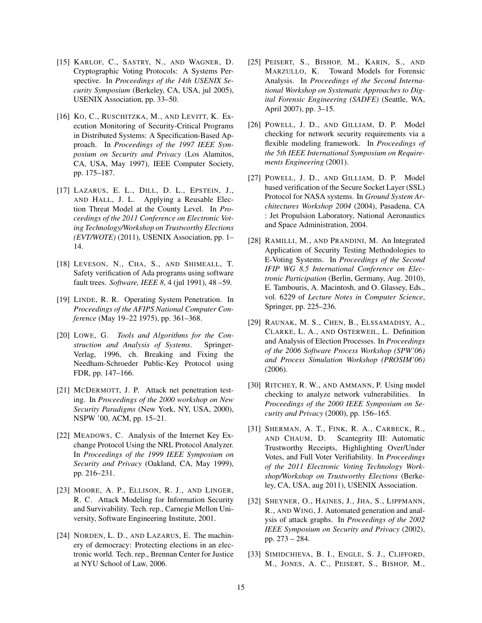- <span id="page-14-2"></span>[15] KARLOF, C., SASTRY, N., AND WAGNER, D. Cryptographic Voting Protocols: A Systems Perspective. In *Proceedings of the 14th USENIX Security Symposium* (Berkeley, CA, USA, jul 2005), USENIX Association, pp. 33–50.
- <span id="page-14-13"></span>[16] KO, C., RUSCHITZKA, M., AND LEVITT, K. Execution Monitoring of Security-Critical Programs in Distributed Systems: A Specification-Based Approach. In *Proceedings of the 1997 IEEE Symposium on Security and Privacy* (Los Alamitos, CA, USA, May 1997), IEEE Computer Society, pp. 175–187.
- <span id="page-14-11"></span>[17] LAZARUS, E. L., DILL, D. L., EPSTEIN, J., AND HALL, J. L. Applying a Reusable Election Threat Model at the County Level. In *Proceedings of the 2011 Conference on Electronic Voting Technology/Workshop on Trustworthy Elections (EVT/WOTE)* (2011), USENIX Association, pp. 1– 14.
- <span id="page-14-9"></span>[18] LEVESON, N., CHA, S., AND SHIMEALL, T. Safety verification of Ada programs using software fault trees. *Software, IEEE 8*, 4 (jul 1991), 48 –59.
- <span id="page-14-6"></span>[19] LINDE, R. R. Operating System Penetration. In *Proceedings of the AFIPS National Computer Conference* (May 19–22 1975), pp. 361–368.
- <span id="page-14-14"></span>[20] LOWE, G. *Tools and Algorithms for the Construction and Analysis of Systems*. Springer-Verlag, 1996, ch. Breaking and Fixing the Needham-Schroeder Public-Key Protocol using FDR, pp. 147–166.
- <span id="page-14-12"></span>[21] MCDERMOTT, J. P. Attack net penetration testing. In *Proceedings of the 2000 workshop on New Security Paradigms* (New York, NY, USA, 2000), NSPW '00, ACM, pp. 15–21.
- <span id="page-14-15"></span>[22] MEADOWS, C. Analysis of the Internet Key Exchange Protocol Using the NRL Protocol Analyzer. In *Proceedings of the 1999 IEEE Symposium on Security and Privacy* (Oakland, CA, May 1999), pp. 216–231.
- <span id="page-14-10"></span>[23] MOORE, A. P., ELLISON, R. J., AND LINGER, R. C. Attack Modeling for Information Security and Survivability. Tech. rep., Carnegie Mellon University, Software Engineering Institute, 2001.
- <span id="page-14-8"></span>[24] NORDEN, L. D., AND LAZARUS, E. The machinery of democracy: Protecting elections in an electronic world. Tech. rep., Brennan Center for Justice at NYU School of Law, 2006.
- <span id="page-14-5"></span>[25] PEISERT, S., BISHOP, M., KARIN, S., AND MARZULLO, K. Toward Models for Forensic Analysis. In *Proceedings of the Second International Workshop on Systematic Approaches to Digital Forensic Engineering (SADFE)* (Seattle, WA, April 2007), pp. 3–15.
- <span id="page-14-16"></span>[26] POWELL, J. D., AND GILLIAM, D. P. Model checking for network security requirements via a flexible modeling framework. In *Proceedings of the 5th IEEE International Symposium on Requirements Engineering* (2001).
- <span id="page-14-17"></span>[27] POWELL, J. D., AND GILLIAM, D. P. Model based verification of the Secure Socket Layer (SSL) Protocol for NASA systems. In *Ground System Architectures Workshop 2004* (2004), Pasadena, CA : Jet Propulsion Laboratory, National Aeronautics and Space Administration, 2004.
- <span id="page-14-0"></span>[28] RAMILLI, M., AND PRANDINI, M. An Integrated Application of Security Testing Methodologies to E-Voting Systems. In *Proceedings of the Second IFIP WG 8.5 International Conference on Electronic Participation* (Berlin, Germany, Aug. 2010), E. Tambouris, A. Macintosh, and O. Glassey, Eds., vol. 6229 of *Lecture Notes in Computer Science*, Springer, pp. 225–236.
- <span id="page-14-18"></span>[29] RAUNAK, M. S., CHEN, B., ELSSAMADISY, A., CLARKE, L. A., AND OSTERWEIL, L. Definition and Analysis of Election Processes. In *Proceedings of the 2006 Software Process Workshop (SPW'06) and Process Simulation Workshop (PROSIM'06)* (2006).
- <span id="page-14-7"></span>[30] RITCHEY, R. W., AND AMMANN, P. Using model checking to analyze network vulnerabilities. In *Proceedings of the 2000 IEEE Symposium on Security and Privacy* (2000), pp. 156–165.
- <span id="page-14-1"></span>[31] SHERMAN, A. T., FINK, R. A., CARBECK, R., AND CHAUM, D. Scantegrity III: Automatic Trustworthy Receipts, Highlighting Over/Under Votes, and Full Voter Verifiability. In *Proceedings of the 2011 Electronic Voting Technology Workshop/Workshop on Trustworthy Elections* (Berkeley, CA, USA, aug 2011), USENIX Association.
- <span id="page-14-4"></span>[32] SHEYNER, O., HAINES, J., JHA, S., LIPPMANN, R., AND WING, J. Automated generation and analysis of attack graphs. In *Proceedings of the 2002 IEEE Symposium on Security and Privacy* (2002), pp. 273 – 284.
- <span id="page-14-3"></span>[33] SIMIDCHIEVA, B. I., ENGLE, S. J., CLIFFORD, M., JONES, A. C., PEISERT, S., BISHOP, M.,